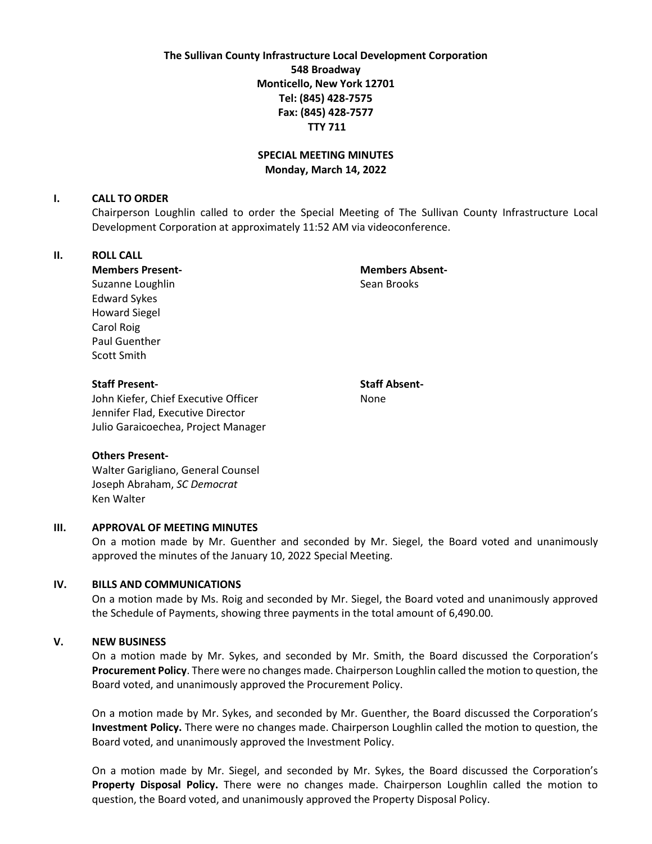**The Sullivan County Infrastructure Local Development Corporation 548 Broadway Monticello, New York 12701 Tel: (845) 428-7575 Fax: (845) 428-7577 TTY 711**

# **SPECIAL MEETING MINUTES Monday, March 14, 2022**

#### **I. CALL TO ORDER**

Chairperson Loughlin called to order the Special Meeting of The Sullivan County Infrastructure Local Development Corporation at approximately 11:52 AM via videoconference.

## **II. ROLL CALL**

**Members Present- Members Absent-**Suzanne Loughlin Sean Brooks

Edward Sykes Howard Siegel Carol Roig Paul Guenther Scott Smith

### **Staff Present- Staff Absent-**

John Kiefer, Chief Executive Officer None Jennifer Flad, Executive Director Julio Garaicoechea, Project Manager

#### **Others Present-**

Walter Garigliano, General Counsel Joseph Abraham, *SC Democrat* Ken Walter

#### **III. APPROVAL OF MEETING MINUTES**

On a motion made by Mr. Guenther and seconded by Mr. Siegel, the Board voted and unanimously approved the minutes of the January 10, 2022 Special Meeting.

### **IV. BILLS AND COMMUNICATIONS**

On a motion made by Ms. Roig and seconded by Mr. Siegel, the Board voted and unanimously approved the Schedule of Payments, showing three payments in the total amount of 6,490.00.

#### **V. NEW BUSINESS**

On a motion made by Mr. Sykes, and seconded by Mr. Smith, the Board discussed the Corporation's **Procurement Policy**. There were no changes made. Chairperson Loughlin called the motion to question, the Board voted, and unanimously approved the Procurement Policy.

On a motion made by Mr. Sykes, and seconded by Mr. Guenther, the Board discussed the Corporation's **Investment Policy.** There were no changes made. Chairperson Loughlin called the motion to question, the Board voted, and unanimously approved the Investment Policy.

On a motion made by Mr. Siegel, and seconded by Mr. Sykes, the Board discussed the Corporation's **Property Disposal Policy.** There were no changes made. Chairperson Loughlin called the motion to question, the Board voted, and unanimously approved the Property Disposal Policy.